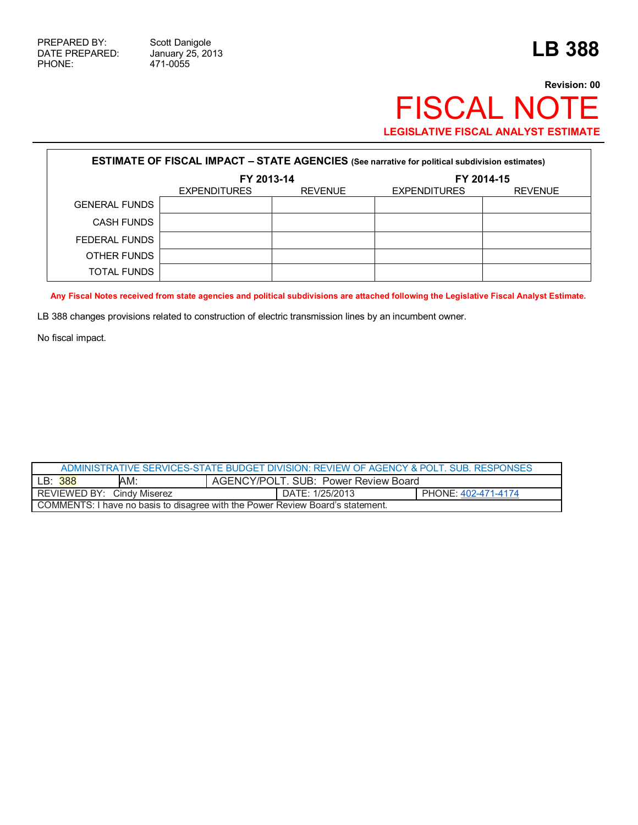471-0055

## **Revision: 00** FISCAL NOTE **LEGISLATIVE FISCAL ANALYST ESTIMATE**

| <b>ESTIMATE OF FISCAL IMPACT - STATE AGENCIES (See narrative for political subdivision estimates)</b> |                     |                |                     |                |  |
|-------------------------------------------------------------------------------------------------------|---------------------|----------------|---------------------|----------------|--|
|                                                                                                       | FY 2013-14          |                | FY 2014-15          |                |  |
|                                                                                                       | <b>EXPENDITURES</b> | <b>REVENUE</b> | <b>EXPENDITURES</b> | <b>REVENUE</b> |  |
| <b>GENERAL FUNDS</b>                                                                                  |                     |                |                     |                |  |
| <b>CASH FUNDS</b>                                                                                     |                     |                |                     |                |  |
| FEDERAL FUNDS                                                                                         |                     |                |                     |                |  |
| OTHER FUNDS                                                                                           |                     |                |                     |                |  |
| <b>TOTAL FUNDS</b>                                                                                    |                     |                |                     |                |  |

**Any Fiscal Notes received from state agencies and political subdivisions are attached following the Legislative Fiscal Analyst Estimate.** 

LB 388 changes provisions related to construction of electric transmission lines by an incumbent owner.

No fiscal impact.

| ADMINISTRATIVE SERVICES-STATE BUDGET DIVISION: REVIEW OF AGENCY & POLT. SUB. RESPONSES |     |                                      |                 |                     |  |
|----------------------------------------------------------------------------------------|-----|--------------------------------------|-----------------|---------------------|--|
| LB: 388                                                                                | AM: | AGENCY/POLT. SUB: Power Review Board |                 |                     |  |
| REVIEWED BY: Cindy Miserez                                                             |     |                                      | DATE: 1/25/2013 | PHONE: 402-471-4174 |  |
| COMMENTS: I have no basis to disagree with the Power Review Board's statement.         |     |                                      |                 |                     |  |